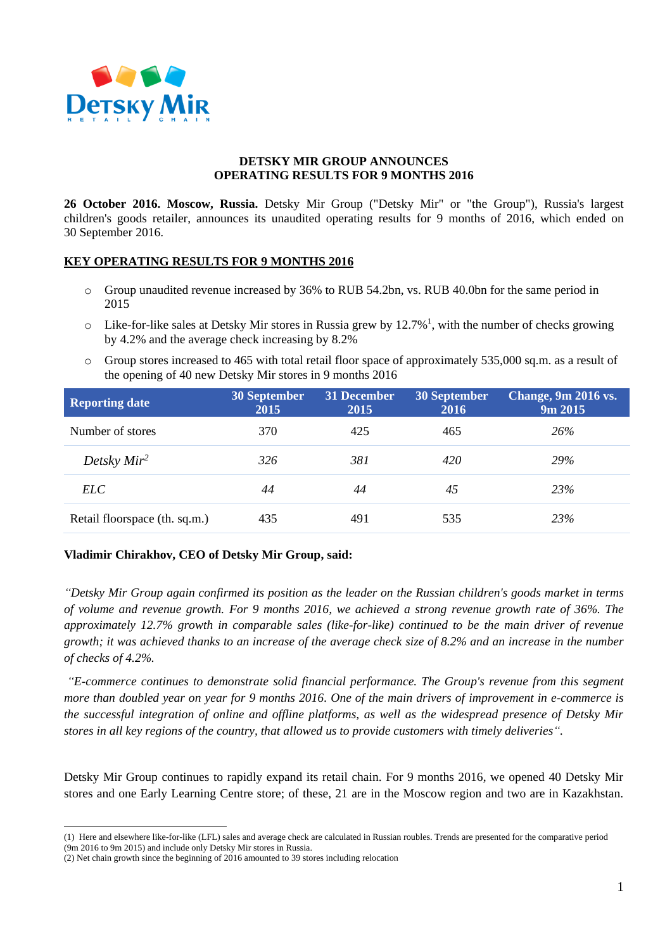

## **DETSKY MIR GROUP ANNOUNCES OPERATING RESULTS FOR 9 MONTHS 2016**

**26 October 2016. Moscow, Russia.** Detsky Mir Group ("Detsky Mir" or "the Group"), Russia's largest children's goods retailer, announces its unaudited operating results for 9 months of 2016, which ended on 30 September 2016.

## **KEY OPERATING RESULTS FOR 9 MONTHS 2016**

- o Group unaudited revenue increased by 36% to RUB 54.2bn, vs. RUB 40.0bn for the same period in 2015
- $\circ$  Like-for-like sales at Detsky Mir stores in Russia grew by 12.7%<sup>1</sup>, with the number of checks growing by 4.2% and the average check increasing by 8.2%
- o Group stores increased to 465 with total retail floor space of approximately 535,000 sq.m. as a result of the opening of 40 new Detsky Mir stores in 9 months 2016

| <b>Reporting date</b>         | <b>30 September</b><br>2015 | 31 December<br>2015 | 30 September<br>2016 | Change, 9m 2016 vs.<br>9m 2015 |
|-------------------------------|-----------------------------|---------------------|----------------------|--------------------------------|
| Number of stores              | 370                         | 425                 | 465                  | 26%                            |
| Detsky $Mir^2$                | 326                         | 381                 | 420                  | <b>29%</b>                     |
| ELC-                          | 44                          | 44                  | 45                   | 23\%                           |
| Retail floorspace (th. sq.m.) | 435                         | 491                 | 535                  | 23%                            |

## **Vladimir Chirakhov, CEO of Detsky Mir Group, said:**

*"Detsky Mir Group again confirmed its position as the leader on the Russian children's goods market in terms of volume and revenue growth. For 9 months 2016, we achieved a strong revenue growth rate of 36%. The approximately 12.7% growth in comparable sales (like-for-like) continued to be the main driver of revenue growth; it was achieved thanks to an increase of the average check size of 8.2% and an increase in the number of checks of 4.2%.*

*"E-commerce continues to demonstrate solid financial performance. The Group's revenue from this segment more than doubled year on year for 9 months 2016. One of the main drivers of improvement in e-commerce is the successful integration of online and offline platforms, as well as the widespread presence of Detsky Mir stores in all key regions of the country, that allowed us to provide customers with timely deliveries".*

Detsky Mir Group continues to rapidly expand its retail chain. For 9 months 2016, we opened 40 Detsky Mir stores and one Early Learning Centre store; of these, 21 are in the Moscow region and two are in Kazakhstan.

 $\overline{a}$ (1) Here and elsewhere like-for-like (LFL) sales and average check are calculated in Russian roubles. Trends are presented for the comparative period (9m 2016 to 9m 2015) and include only Detsky Mir stores in Russia.

<sup>(2)</sup> Net chain growth since the beginning of 2016 amounted to 39 stores including relocation